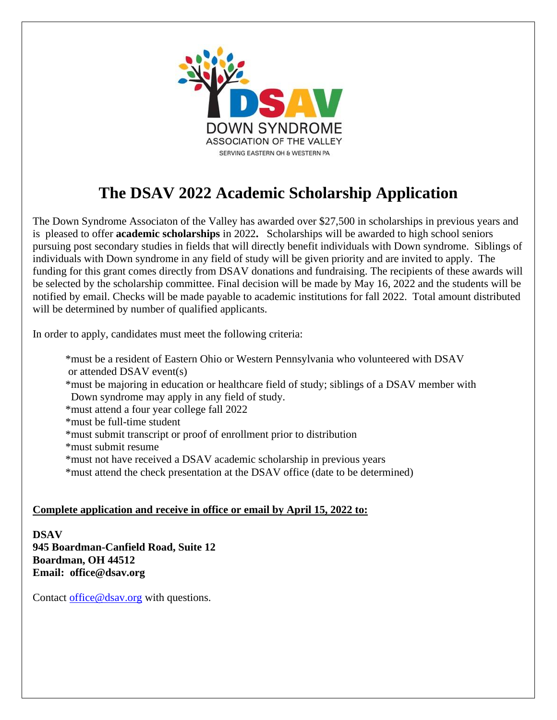

## **The DSAV 2022 Academic Scholarship Application**

The Down Syndrome Associaton of the Valley has awarded over \$27,500 in scholarships in previous years and is pleased to offer **academic scholarships** in 2022**.** Scholarships will be awarded to high school seniors pursuing post secondary studies in fields that will directly benefit individuals with Down syndrome. Siblings of individuals with Down syndrome in any field of study will be given priority and are invited to apply. The funding for this grant comes directly from DSAV donations and fundraising. The recipients of these awards will be selected by the scholarship committee. Final decision will be made by May 16, 2022 and the students will be notified by email. Checks will be made payable to academic institutions for fall 2022. Total amount distributed will be determined by number of qualified applicants.

In order to apply, candidates must meet the following criteria:

- \*must be a resident of Eastern Ohio or Western Pennsylvania who volunteered with DSAV or attended DSAV event(s)
- \*must be majoring in education or healthcare field of study; siblings of a DSAV member with Down syndrome may apply in any field of study.
- \*must attend a four year college fall 2022
- \*must be full-time student
- \*must submit transcript or proof of enrollment prior to distribution
- \*must submit resume
- \*must not have received a DSAV academic scholarship in previous years
- \*must attend the check presentation at the DSAV office (date to be determined)

## **Complete application and receive in office or email by April 15, 2022 to:**

**DSAV 945 Boardman-Canfield Road, Suite 12 Boardman, OH 44512 Email: office@dsav.org**

Contact office@dsay.org with questions.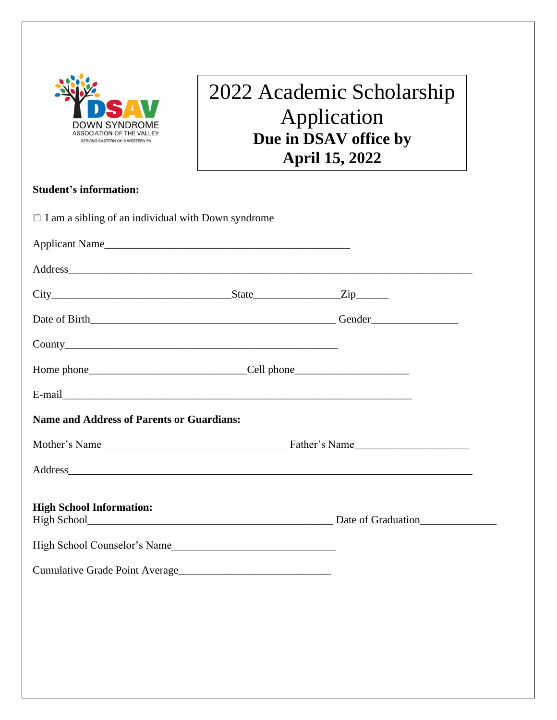

## 2022 Academic Scholarship Application **Due in DSAV office by April 15, 2022**

## **Student's information:**

| $\Box$ I am a sibling of an individual with Down syndrome                                                                                                                                                                      |  |  |
|--------------------------------------------------------------------------------------------------------------------------------------------------------------------------------------------------------------------------------|--|--|
| Applicant Name                                                                                                                                                                                                                 |  |  |
| Address and the contract of the contract of the contract of the contract of the contract of the contract of the contract of the contract of the contract of the contract of the contract of the contract of the contract of th |  |  |
|                                                                                                                                                                                                                                |  |  |
|                                                                                                                                                                                                                                |  |  |
|                                                                                                                                                                                                                                |  |  |
|                                                                                                                                                                                                                                |  |  |
|                                                                                                                                                                                                                                |  |  |
| <b>Name and Address of Parents or Guardians:</b>                                                                                                                                                                               |  |  |
| Mother's Name Father's Name                                                                                                                                                                                                    |  |  |
|                                                                                                                                                                                                                                |  |  |
| <b>High School Information:</b>                                                                                                                                                                                                |  |  |
| High School Counselor's Name                                                                                                                                                                                                   |  |  |
| Cumulative Grade Point Average                                                                                                                                                                                                 |  |  |
|                                                                                                                                                                                                                                |  |  |
|                                                                                                                                                                                                                                |  |  |
|                                                                                                                                                                                                                                |  |  |
|                                                                                                                                                                                                                                |  |  |